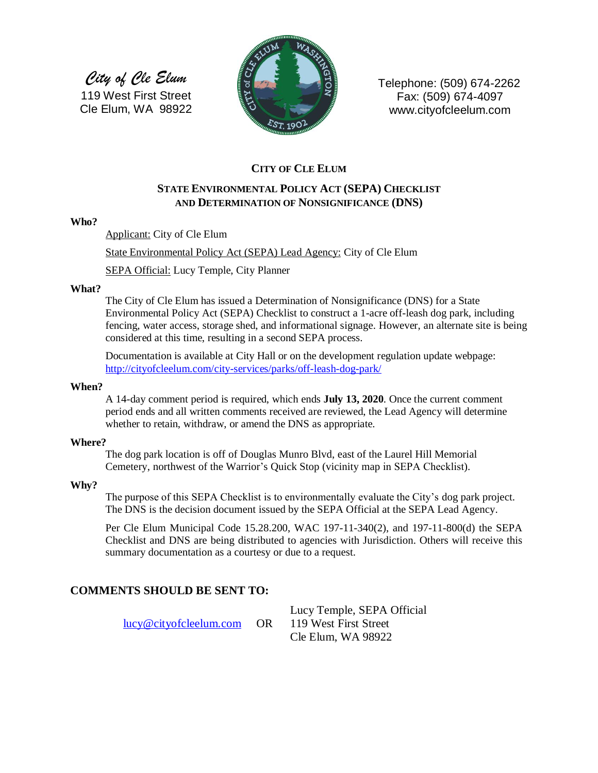*City of Cle Elum* 119 West First Street Cle Elum, WA 98922



Telephone: (509) 674-2262 Fax: (509) 674-4097 www.cityofcleelum.com

## **CITY OF CLE ELUM**

## **STATE ENVIRONMENTAL POLICY ACT (SEPA) CHECKLIST AND DETERMINATION OF NONSIGNIFICANCE (DNS)**

#### **Who?**

Applicant: City of Cle Elum

State Environmental Policy Act (SEPA) Lead Agency: City of Cle Elum

SEPA Official: Lucy Temple, City Planner

#### **What?**

The City of Cle Elum has issued a Determination of Nonsignificance (DNS) for a State Environmental Policy Act (SEPA) Checklist to construct a 1-acre off-leash dog park, including fencing, water access, storage shed, and informational signage. However, an alternate site is being considered at this time, resulting in a second SEPA process.

Documentation is available at City Hall or on the development regulation update webpage: <http://cityofcleelum.com/city-services/parks/off-leash-dog-park/>

#### **When?**

A 14-day comment period is required, which ends **July 13, 2020**. Once the current comment period ends and all written comments received are reviewed, the Lead Agency will determine whether to retain, withdraw, or amend the DNS as appropriate.

#### **Where?**

The dog park location is off of Douglas Munro Blvd, east of the Laurel Hill Memorial Cemetery, northwest of the Warrior's Quick Stop (vicinity map in SEPA Checklist).

#### **Why?**

The purpose of this SEPA Checklist is to environmentally evaluate the City's dog park project. The DNS is the decision document issued by the SEPA Official at the SEPA Lead Agency.

Per Cle Elum Municipal Code 15.28.200, WAC 197-11-340(2), and 197-11-800(d) the SEPA Checklist and DNS are being distributed to agencies with Jurisdiction. Others will receive this summary documentation as a courtesy or due to a request.

#### **COMMENTS SHOULD BE SENT TO:**

[lucy@cityofcleelum.com](mailto:lucy@cityofcleelum.com) OR 119 West First Street

Lucy Temple, SEPA Official Cle Elum, WA 98922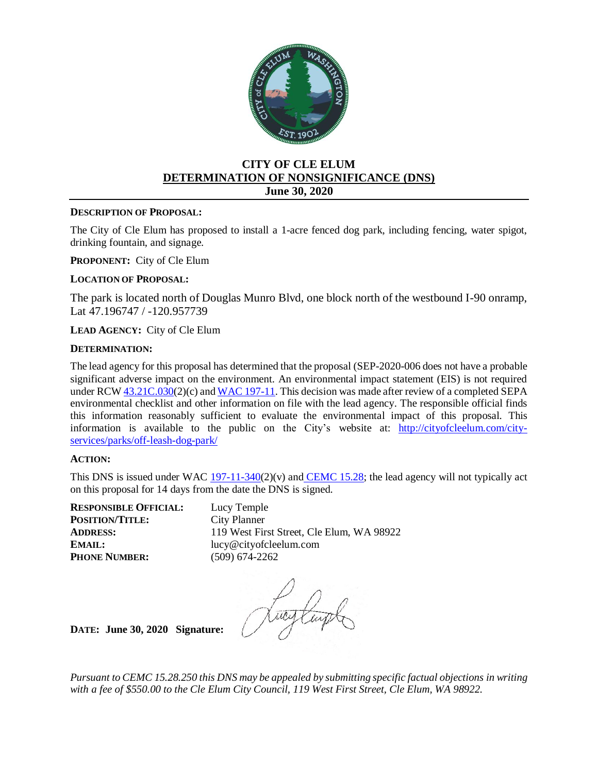

### **CITY OF CLE ELUM DETERMINATION OF NONSIGNIFICANCE (DNS) June 30, 2020**

#### **DESCRIPTION OF PROPOSAL:**

The City of Cle Elum has proposed to install a 1-acre fenced dog park, including fencing, water spigot, drinking fountain, and signage.

**PROPONENT:** City of Cle Elum

#### **LOCATION OF PROPOSAL:**

The park is located north of Douglas Munro Blvd, one block north of the westbound I-90 onramp, Lat 47.196747 / -120.957739

**LEAD AGENCY:** City of Cle Elum

#### **DETERMINATION:**

The lead agency for this proposal has determined that the proposal (SEP-2020-006 does not have a probable significant adverse impact on the environment. An environmental impact statement (EIS) is not required under RC[W 43.21C.030\(](http://app.leg.wa.gov/RCW/default.aspx?cite=43.21C.030)2)(c) and [WAC 197-11.](https://apps.leg.wa.gov/wac/default.aspx?cite=197-11) This decision was made after review of a completed SEPA environmental checklist and other information on file with the lead agency. The responsible official finds this information reasonably sufficient to evaluate the environmental impact of this proposal. This information is available to the public on the City's website at: [http://cityofcleelum.com/city](http://cityofcleelum.com/city-services/parks/off-leash-dog-park/)[services/parks/off-leash-dog-park/](http://cityofcleelum.com/city-services/parks/off-leash-dog-park/)

#### **ACTION:**

This DNS is issued under WAC  $197-11-340(2)(v)$  and [CEMC 15.28;](https://cleelum.municipal.codes/CEMC/15.28) the lead agency will not typically act on this proposal for 14 days from the date the DNS is signed.

**RESPONSIBLE OFFICIAL:** Lucy Temple **POSITION/TITLE:** City Planner **PHONE NUMBER:** (509) 674-2262

**ADDRESS:** 119 West First Street, Cle Elum, WA 98922 **EMAIL:** lucy@cityofcleelum.com

**DATE: June 30, 2020 Signature:** 

*Pursuant to CEMC 15.28.250 this DNS may be appealed by submitting specific factual objections in writing with a fee of \$550.00 to the Cle Elum City Council, 119 West First Street, Cle Elum, WA 98922.*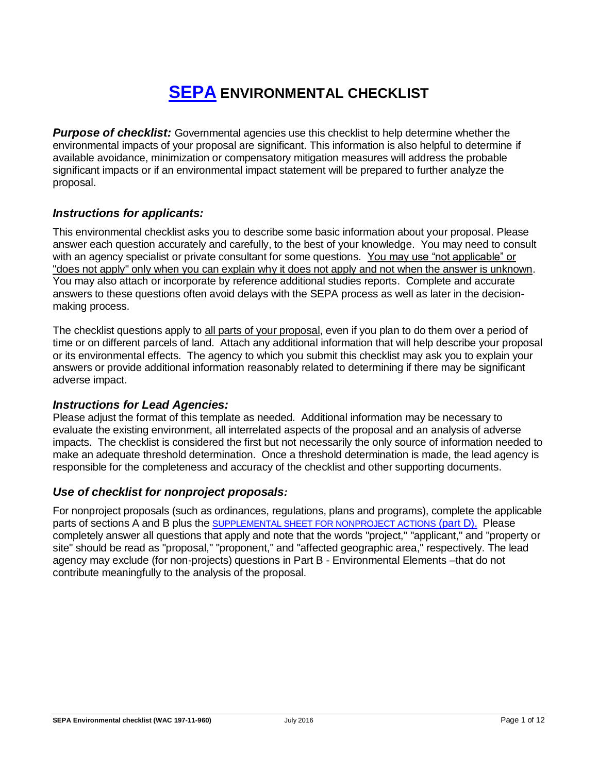# **[SEPA](https://ecology.wa.gov/Regulations-Permits/SEPA/Environmental-review/SEPA-guidance/Checklist-guidance) ENVIRONMENTAL CHECKLIST**

*Purpose of checklist:* Governmental agencies use this checklist to help determine whether the environmental impacts of your proposal are significant. This information is also helpful to determine if available avoidance, minimization or compensatory mitigation measures will address the probable significant impacts or if an environmental impact statement will be prepared to further analyze the proposal.

## *Instructions for applicants:*

This environmental checklist asks you to describe some basic information about your proposal. Please answer each question accurately and carefully, to the best of your knowledge. You may need to consult with an agency specialist or private consultant for some questions. You may use "not applicable" or "does not apply" only when you can explain why it does not apply and not when the answer is unknown. You may also attach or incorporate by reference additional studies reports. Complete and accurate answers to these questions often avoid delays with the SEPA process as well as later in the decisionmaking process.

The checklist questions apply to all parts of your proposal, even if you plan to do them over a period of time or on different parcels of land. Attach any additional information that will help describe your proposal or its environmental effects. The agency to which you submit this checklist may ask you to explain your answers or provide additional information reasonably related to determining if there may be significant adverse impact.

## *Instructions for Lead Agencies:*

Please adjust the format of this template as needed. Additional information may be necessary to evaluate the existing environment, all interrelated aspects of the proposal and an analysis of adverse impacts. The checklist is considered the first but not necessarily the only source of information needed to make an adequate threshold determination. Once a threshold determination is made, the lead agency is responsible for the completeness and accuracy of the checklist and other supporting documents.

## *Use of checklist for nonproject proposals:*

For nonproject proposals (such as ordinances, regulations, plans and programs), complete the applicable parts of sections A and B plus the [SUPPLEMENTAL SHEET FOR NONPROJECT ACTIONS](#page-13-0) (part D). Please completely answer all questions that apply and note that the words "project," "applicant," and "property or site" should be read as "proposal," "proponent," and "affected geographic area," respectively. The lead agency may exclude (for non-projects) questions in Part B - Environmental Elements –that do not contribute meaningfully to the analysis of the proposal.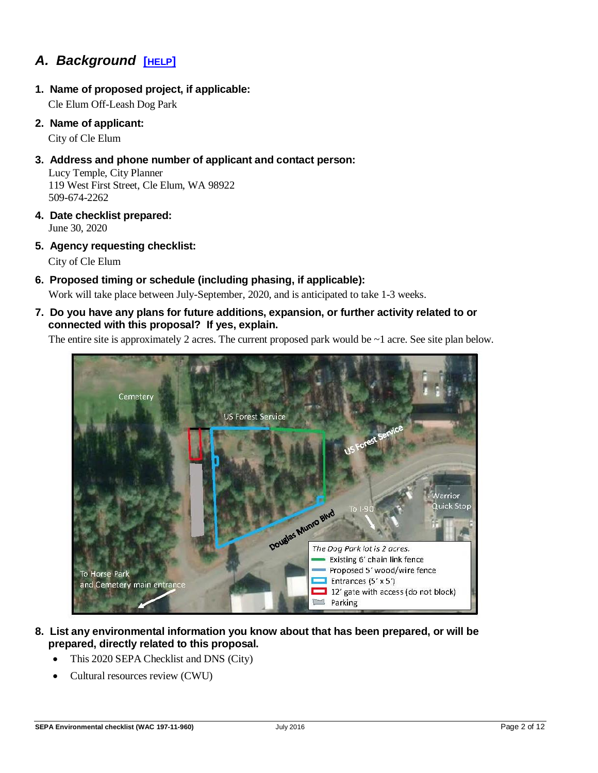## *A. Background* **[[HELP](https://ecology.wa.gov/Regulations-Permits/SEPA/Environmental-review/SEPA-guidance/SEPA-checklist-guidance/SEPA-Checklist-Section-A-Background)]**

**1. Name of proposed project, if applicable:**

Cle Elum Off-Leash Dog Park

**2. Name of applicant:**

City of Cle Elum

**3. Address and phone number of applicant and contact person:**

Lucy Temple, City Planner 119 West First Street, Cle Elum, WA 98922 509-674-2262

- **4. Date checklist prepared:** June 30, 2020
- **5. Agency requesting checklist:**

City of Cle Elum

**6. Proposed timing or schedule (including phasing, if applicable):**

Work will take place between July-September, 2020, and is anticipated to take 1-3 weeks.

**7. Do you have any plans for future additions, expansion, or further activity related to or connected with this proposal? If yes, explain.**

The entire site is approximately 2 acres. The current proposed park would be  $\sim$  1 acre. See site plan below.



- **8. List any environmental information you know about that has been prepared, or will be prepared, directly related to this proposal.**
	- This 2020 SEPA Checklist and DNS (City)
	- Cultural resources review (CWU)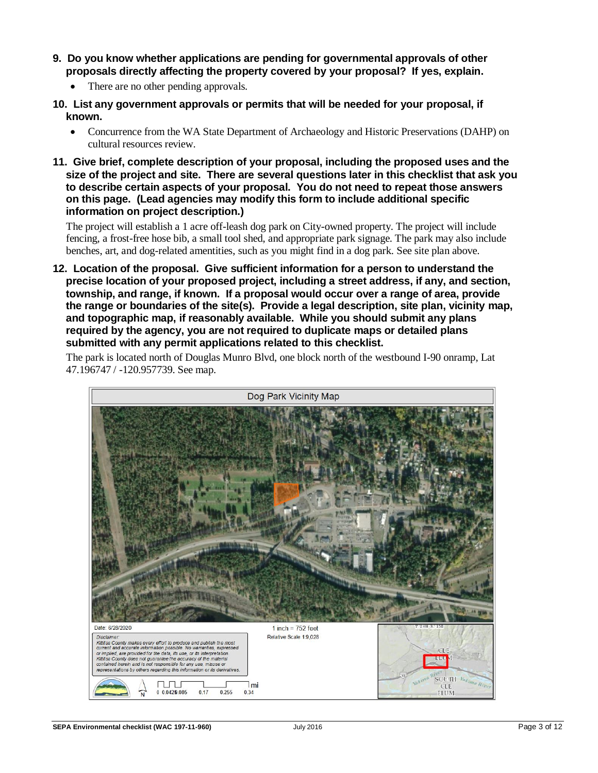- **9. Do you know whether applications are pending for governmental approvals of other proposals directly affecting the property covered by your proposal? If yes, explain.**
	- There are no other pending approvals.
- **10. List any government approvals or permits that will be needed for your proposal, if known.**
	- Concurrence from the WA State Department of Archaeology and Historic Preservations (DAHP) on cultural resources review.
- **11. Give brief, complete description of your proposal, including the proposed uses and the size of the project and site. There are several questions later in this checklist that ask you to describe certain aspects of your proposal. You do not need to repeat those answers on this page. (Lead agencies may modify this form to include additional specific information on project description.)**

The project will establish a 1 acre off-leash dog park on City-owned property. The project will include fencing, a frost-free hose bib, a small tool shed, and appropriate park signage. The park may also include benches, art, and dog-related amentities, such as you might find in a dog park. See site plan above.

**12. Location of the proposal. Give sufficient information for a person to understand the precise location of your proposed project, including a street address, if any, and section, township, and range, if known. If a proposal would occur over a range of area, provide the range or boundaries of the site(s). Provide a legal description, site plan, vicinity map, and topographic map, if reasonably available. While you should submit any plans required by the agency, you are not required to duplicate maps or detailed plans submitted with any permit applications related to this checklist.**

The park is located north of Douglas Munro Blvd, one block north of the westbound I-90 onramp, Lat 47.196747 / -120.957739. See map.

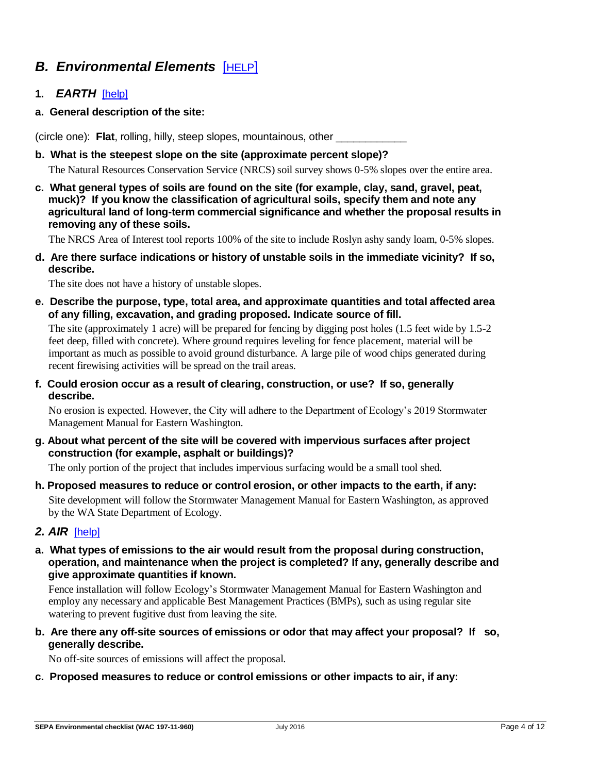## *B. Environmental Elements* [[HELP](https://ecology.wa.gov/Regulations-Permits/SEPA/Environmental-review/SEPA-guidance/SEPA-checklist-guidance/SEPA-Checklist-Section-B-Environmental-elements)]

- **1.** *EARTH*[\[help\]](https://ecology.wa.gov/Regulations-Permits/SEPA/Environmental-review/SEPA-guidance/SEPA-checklist-guidance/SEPA-Checklist-Section-B-Environmental-elements/Environmental-elements-Earth)
- **a. General description of the site:**

(circle one): **Flat**, rolling, hilly, steep slopes, mountainous, other \_\_\_\_\_\_\_\_\_\_\_\_

**b. What is the steepest slope on the site (approximate percent slope)?**

The Natural Resources Conservation Service (NRCS) soil survey shows 0-5% slopes over the entire area.

**c. What general types of soils are found on the site (for example, clay, sand, gravel, peat, muck)? If you know the classification of agricultural soils, specify them and note any agricultural land of long-term commercial significance and whether the proposal results in removing any of these soils.**

The NRCS Area of Interest tool reports 100% of the site to include Roslyn ashy sandy loam, 0-5% slopes.

**d. Are there surface indications or history of unstable soils in the immediate vicinity? If so, describe.**

The site does not have a history of unstable slopes.

**e. Describe the purpose, type, total area, and approximate quantities and total affected area of any filling, excavation, and grading proposed. Indicate source of fill.**

The site (approximately 1 acre) will be prepared for fencing by digging post holes (1.5 feet wide by 1.5-2 feet deep, filled with concrete). Where ground requires leveling for fence placement, material will be important as much as possible to avoid ground disturbance. A large pile of wood chips generated during recent firewising activities will be spread on the trail areas.

**f. Could erosion occur as a result of clearing, construction, or use? If so, generally describe.**

No erosion is expected. However, the City will adhere to the Department of Ecology's 2019 Stormwater Management Manual for Eastern Washington.

**g. About what percent of the site will be covered with impervious surfaces after project construction (for example, asphalt or buildings)?**

The only portion of the project that includes impervious surfacing would be a small tool shed.

**h. Proposed measures to reduce or control erosion, or other impacts to the earth, if any:** Site development will follow the Stormwater Management Manual for Eastern Washington, as approved by the WA State Department of Ecology.

#### *2. AIR*[\[help\]](https://ecology.wa.gov/Regulations-Permits/SEPA/Environmental-review/SEPA-guidance/SEPA-checklist-guidance/SEPA-Checklist-Section-B-Environmental-elements/Environmental-elements-Air)

**a. What types of emissions to the air would result from the proposal during construction, operation, and maintenance when the project is completed? If any, generally describe and give approximate quantities if known.**

Fence installation will follow Ecology's Stormwater Management Manual for Eastern Washington and employ any necessary and applicable Best Management Practices (BMPs), such as using regular site watering to prevent fugitive dust from leaving the site.

**b. Are there any off-site sources of emissions or odor that may affect your proposal? If so, generally describe.**

No off-site sources of emissions will affect the proposal.

**c. Proposed measures to reduce or control emissions or other impacts to air, if any:**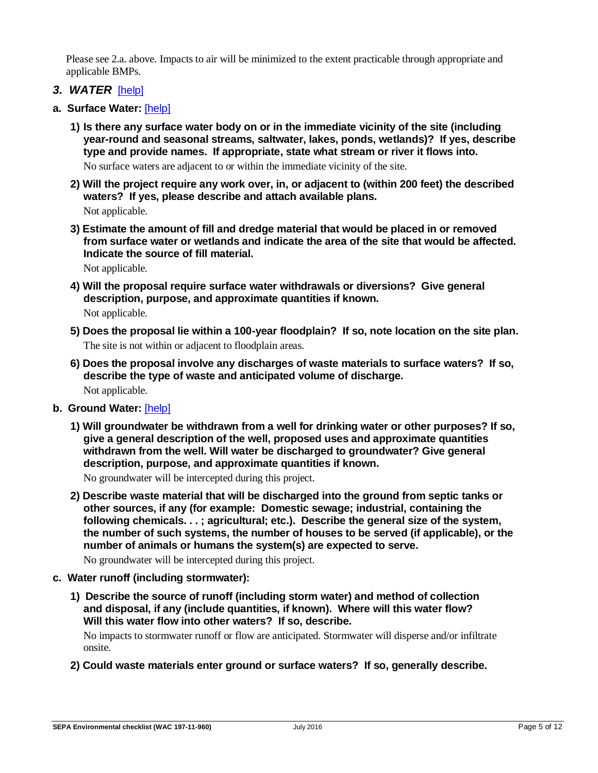Please see 2.a. above. Impacts to air will be minimized to the extent practicable through appropriate and applicable BMPs.

- *3. WATER*[\[help\]](https://ecology.wa.gov/Regulations-Permits/SEPA/Environmental-review/SEPA-guidance/SEPA-checklist-guidance/SEPA-Checklist-Section-B-Environmental-elements/Environmental-elements-3-Water)
- **a. Surface Water:** [\[help\]](https://ecology.wa.gov/Regulations-Permits/SEPA/Environmental-review/SEPA-guidance/SEPA-checklist-guidance/SEPA-Checklist-Section-B-Environmental-elements/Environmental-elements-3-Water/Environmental-elements-Surface-water)
	- **1) Is there any surface water body on or in the immediate vicinity of the site (including year-round and seasonal streams, saltwater, lakes, ponds, wetlands)? If yes, describe type and provide names. If appropriate, state what stream or river it flows into.**

No surface waters are adjacent to or within the immediate vicinity of the site.

- **2) Will the project require any work over, in, or adjacent to (within 200 feet) the described waters? If yes, please describe and attach available plans.** Not applicable.
- **3) Estimate the amount of fill and dredge material that would be placed in or removed from surface water or wetlands and indicate the area of the site that would be affected. Indicate the source of fill material.**

Not applicable.

- **4) Will the proposal require surface water withdrawals or diversions? Give general description, purpose, and approximate quantities if known.** Not applicable.
- **5) Does the proposal lie within a 100-year floodplain? If so, note location on the site plan.** The site is not within or adjacent to floodplain areas.
- **6) Does the proposal involve any discharges of waste materials to surface waters? If so, describe the type of waste and anticipated volume of discharge.** Not applicable.
- **b. Ground Water:** [\[help\]](https://ecology.wa.gov/Regulations-Permits/SEPA/Environmental-review/SEPA-guidance/SEPA-checklist-guidance/SEPA-Checklist-Section-B-Environmental-elements/Environmental-elements-3-Water/Environmental-elements-Groundwater)
	- **1) Will groundwater be withdrawn from a well for drinking water or other purposes? If so, give a general description of the well, proposed uses and approximate quantities withdrawn from the well. Will water be discharged to groundwater? Give general description, purpose, and approximate quantities if known.**

No groundwater will be intercepted during this project.

**2) Describe waste material that will be discharged into the ground from septic tanks or other sources, if any (for example: Domestic sewage; industrial, containing the following chemicals. . . ; agricultural; etc.). Describe the general size of the system, the number of such systems, the number of houses to be served (if applicable), or the number of animals or humans the system(s) are expected to serve.**

No groundwater will be intercepted during this project.

- **c. Water runoff (including stormwater):**
	- **1) Describe the source of runoff (including storm water) and method of collection and disposal, if any (include quantities, if known). Where will this water flow? Will this water flow into other waters? If so, describe.**

No impacts to stormwater runoff or flow are anticipated. Stormwater will disperse and/or infiltrate onsite.

**2) Could waste materials enter ground or surface waters? If so, generally describe.**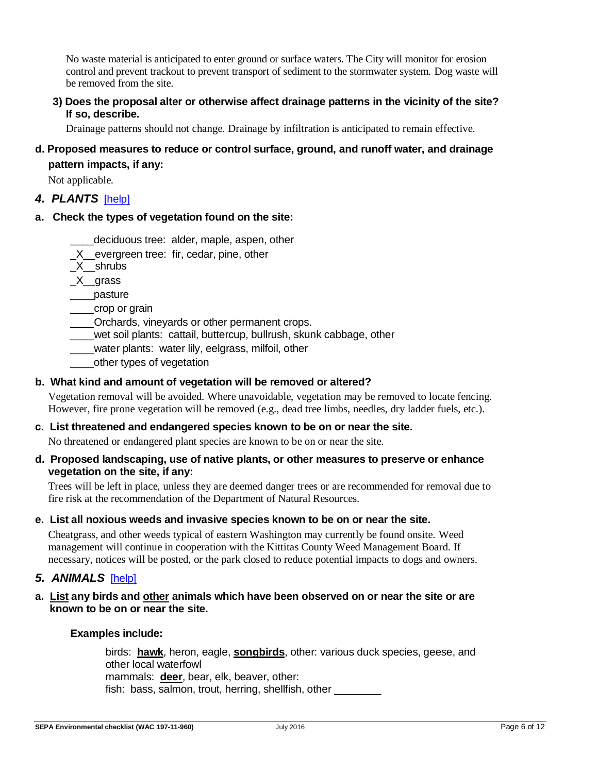No waste material is anticipated to enter ground or surface waters. The City will monitor for erosion control and prevent trackout to prevent transport of sediment to the stormwater system. Dog waste will be removed from the site.

**3) Does the proposal alter or otherwise affect drainage patterns in the vicinity of the site? If so, describe.**

Drainage patterns should not change. Drainage by infiltration is anticipated to remain effective.

## **d. Proposed measures to reduce or control surface, ground, and runoff water, and drainage pattern impacts, if any:**

Not applicable.

## *4. PLANTS* [\[help\]](https://ecology.wa.gov/Regulations-Permits/SEPA/Environmental-review/SEPA-guidance/SEPA-checklist-guidance/SEPA-Checklist-Section-B-Environmental-elements/Environmental-elements-4-Plants)

## **a. Check the types of vegetation found on the site:**

- deciduous tree: alder, maple, aspen, other
- X evergreen tree: fir, cedar, pine, other
- $X$  shrubs
- \_X\_\_grass
- \_\_\_\_pasture
- \_\_\_\_crop or grain
- \_\_\_\_Orchards, vineyards or other permanent crops.
- wet soil plants: cattail, buttercup, bullrush, skunk cabbage, other
- \_\_\_\_water plants: water lily, eelgrass, milfoil, other
- other types of vegetation

#### **b. What kind and amount of vegetation will be removed or altered?**

Vegetation removal will be avoided. Where unavoidable, vegetation may be removed to locate fencing. However, fire prone vegetation will be removed (e.g., dead tree limbs, needles, dry ladder fuels, etc.).

#### **c. List threatened and endangered species known to be on or near the site.**

No threatened or endangered plant species are known to be on or near the site.

#### **d. Proposed landscaping, use of native plants, or other measures to preserve or enhance vegetation on the site, if any:**

Trees will be left in place, unless they are deemed danger trees or are recommended for removal due to fire risk at the recommendation of the Department of Natural Resources.

#### **e. List all noxious weeds and invasive species known to be on or near the site.**

Cheatgrass, and other weeds typical of eastern Washington may currently be found onsite. Weed management will continue in cooperation with the Kittitas County Weed Management Board. If necessary, notices will be posted, or the park closed to reduce potential impacts to dogs and owners.

#### 5. ANIMALS [\[help\]](https://ecology.wa.gov/Regulations-Permits/SEPA/Environmental-review/SEPA-guidance/SEPA-checklist-guidance/SEPA-Checklist-Section-B-Environmental-elements/Environmental-elements-5-Animals)

#### **a. List any birds and other animals which have been observed on or near the site or are known to be on or near the site.**

#### **Examples include:**

birds: **hawk**, heron, eagle, **songbirds**, other: various duck species, geese, and other local waterfowl mammals: **deer**, bear, elk, beaver, other: fish: bass, salmon, trout, herring, shellfish, other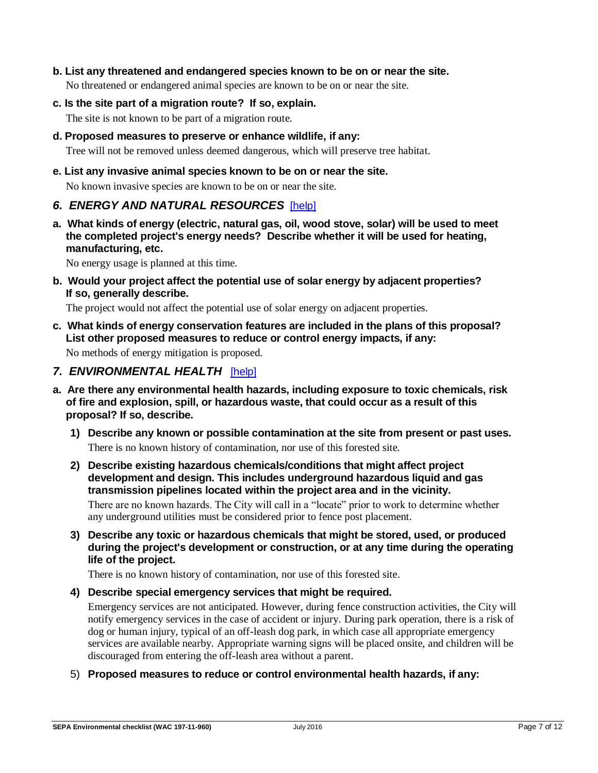#### **b. List any threatened and endangered species known to be on or near the site.**

No threatened or endangered animal species are known to be on or near the site.

**c. Is the site part of a migration route? If so, explain.** 

The site is not known to be part of a migration route.

**d. Proposed measures to preserve or enhance wildlife, if any:** 

Tree will not be removed unless deemed dangerous, which will preserve tree habitat.

**e. List any invasive animal species known to be on or near the site.**

No known invasive species are known to be on or near the site.

## *6. ENERGY AND NATURAL RESOURCES*[\[help\]](https://ecology.wa.gov/Regulations-Permits/SEPA/Environmental-review/SEPA-guidance/SEPA-checklist-guidance/SEPA-Checklist-Section-B-Environmental-elements/Environmental-elements-6-Energy-natural-resou)

**a. What kinds of energy (electric, natural gas, oil, wood stove, solar) will be used to meet the completed project's energy needs? Describe whether it will be used for heating, manufacturing, etc.**

No energy usage is planned at this time.

**b. Would your project affect the potential use of solar energy by adjacent properties? If so, generally describe.**

The project would not affect the potential use of solar energy on adjacent properties.

**c. What kinds of energy conservation features are included in the plans of this proposal? List other proposed measures to reduce or control energy impacts, if any:**

No methods of energy mitigation is proposed.

- *7. ENVIRONMENTAL HEALTH*[\[help\]](https://ecology.wa.gov/Regulations-Permits/SEPA/Environmental-review/SEPA-guidance/SEPA-checklist-guidance/SEPA-Checklist-Section-B-Environmental-elements/Environmental-elements-7-Environmental-health)
- **a. Are there any environmental health hazards, including exposure to toxic chemicals, risk of fire and explosion, spill, or hazardous waste, that could occur as a result of this proposal? If so, describe.**
	- **1) Describe any known or possible contamination at the site from present or past uses.** There is no known history of contamination, nor use of this forested site.
	- **2) Describe existing hazardous chemicals/conditions that might affect project development and design. This includes underground hazardous liquid and gas transmission pipelines located within the project area and in the vicinity.**

There are no known hazards. The City will call in a "locate" prior to work to determine whether any underground utilities must be considered prior to fence post placement.

**3) Describe any toxic or hazardous chemicals that might be stored, used, or produced during the project's development or construction, or at any time during the operating life of the project.**

There is no known history of contamination, nor use of this forested site.

**4) Describe special emergency services that might be required.**

Emergency services are not anticipated. However, during fence construction activities, the City will notify emergency services in the case of accident or injury. During park operation, there is a risk of dog or human injury, typical of an off-leash dog park, in which case all appropriate emergency services are available nearby. Appropriate warning signs will be placed onsite, and children will be discouraged from entering the off-leash area without a parent.

5) **Proposed measures to reduce or control environmental health hazards, if any:**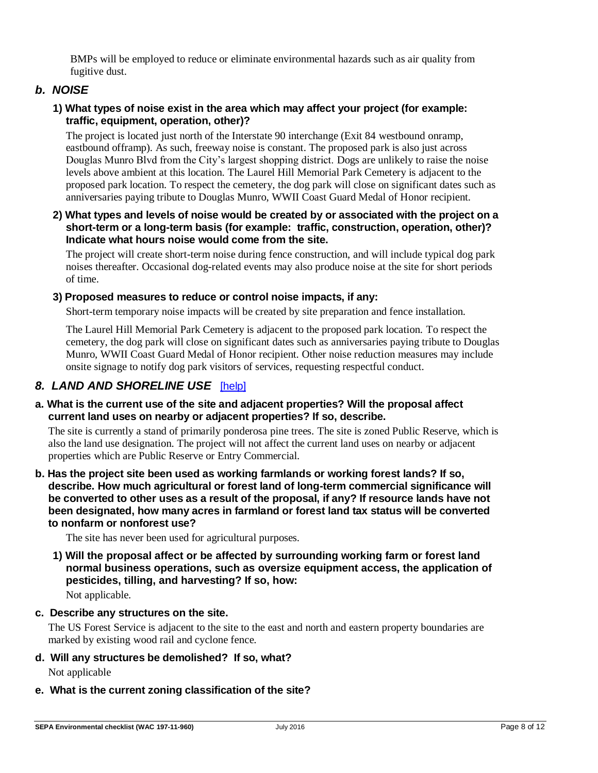BMPs will be employed to reduce or eliminate environmental hazards such as air quality from fugitive dust.

## *b. NOISE*

### **1) What types of noise exist in the area which may affect your project (for example: traffic, equipment, operation, other)?**

The project is located just north of the Interstate 90 interchange (Exit 84 westbound onramp, eastbound offramp). As such, freeway noise is constant. The proposed park is also just across Douglas Munro Blvd from the City's largest shopping district. Dogs are unlikely to raise the noise levels above ambient at this location. The Laurel Hill Memorial Park Cemetery is adjacent to the proposed park location. To respect the cemetery, the dog park will close on significant dates such as anniversaries paying tribute to Douglas Munro, WWII Coast Guard Medal of Honor recipient.

#### **2) What types and levels of noise would be created by or associated with the project on a short-term or a long-term basis (for example: traffic, construction, operation, other)? Indicate what hours noise would come from the site.**

The project will create short-term noise during fence construction, and will include typical dog park noises thereafter. Occasional dog-related events may also produce noise at the site for short periods of time.

#### **3) Proposed measures to reduce or control noise impacts, if any:**

Short-term temporary noise impacts will be created by site preparation and fence installation.

The Laurel Hill Memorial Park Cemetery is adjacent to the proposed park location. To respect the cemetery, the dog park will close on significant dates such as anniversaries paying tribute to Douglas Munro, WWII Coast Guard Medal of Honor recipient. Other noise reduction measures may include onsite signage to notify dog park visitors of services, requesting respectful conduct.

## *8. LAND AND SHORELINE USE* [\[help\]](https://ecology.wa.gov/Regulations-Permits/SEPA/Environmental-review/SEPA-guidance/SEPA-checklist-guidance/SEPA-Checklist-Section-B-Environmental-elements/Environmental-elements-8-Land-shoreline-use)

#### **a. What is the current use of the site and adjacent properties? Will the proposal affect current land uses on nearby or adjacent properties? If so, describe.**

The site is currently a stand of primarily ponderosa pine trees. The site is zoned Public Reserve, which is also the land use designation. The project will not affect the current land uses on nearby or adjacent properties which are Public Reserve or Entry Commercial.

**b. Has the project site been used as working farmlands or working forest lands? If so, describe. How much agricultural or forest land of long-term commercial significance will be converted to other uses as a result of the proposal, if any? If resource lands have not been designated, how many acres in farmland or forest land tax status will be converted to nonfarm or nonforest use?**

The site has never been used for agricultural purposes.

**1) Will the proposal affect or be affected by surrounding working farm or forest land normal business operations, such as oversize equipment access, the application of pesticides, tilling, and harvesting? If so, how:**

Not applicable.

#### **c. Describe any structures on the site.**

The US Forest Service is adjacent to the site to the east and north and eastern property boundaries are marked by existing wood rail and cyclone fence.

**d. Will any structures be demolished? If so, what?**

Not applicable

## **e. What is the current zoning classification of the site?**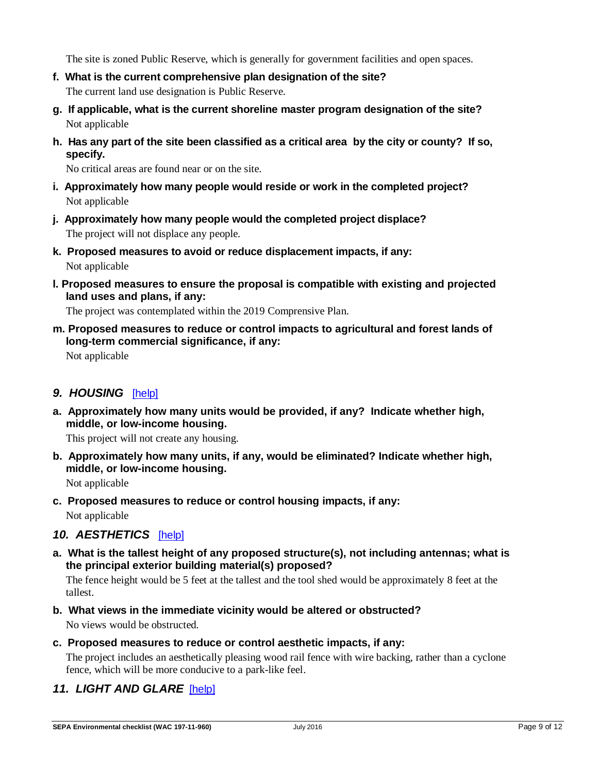The site is zoned Public Reserve, which is generally for government facilities and open spaces.

- **f. What is the current comprehensive plan designation of the site?** The current land use designation is Public Reserve.
- **g. If applicable, what is the current shoreline master program designation of the site?** Not applicable
- **h. Has any part of the site been classified as a critical area by the city or county? If so, specify.**

No critical areas are found near or on the site.

- **i. Approximately how many people would reside or work in the completed project?** Not applicable
- **j. Approximately how many people would the completed project displace?** The project will not displace any people.
- **k. Proposed measures to avoid or reduce displacement impacts, if any:** Not applicable
- **l. Proposed measures to ensure the proposal is compatible with existing and projected land uses and plans, if any:**

The project was contemplated within the 2019 Comprensive Plan.

**m. Proposed measures to reduce or control impacts to agricultural and forest lands of long-term commercial significance, if any:**

Not applicable

## *9. HOUSING*[\[help\]](https://ecology.wa.gov/Regulations-Permits/SEPA/Environmental-review/SEPA-guidance/SEPA-checklist-guidance/SEPA-Checklist-Section-B-Environmental-elements/Environmental-elements-9-Housing)

**a. Approximately how many units would be provided, if any? Indicate whether high, middle, or low-income housing.**

This project will not create any housing.

**b. Approximately how many units, if any, would be eliminated? Indicate whether high, middle, or low-income housing.**

Not applicable

**c. Proposed measures to reduce or control housing impacts, if any:** Not applicable

*10. AESTHETICS*[\[help\]](https://ecology.wa.gov/Regulations-Permits/SEPA/Environmental-review/SEPA-guidance/SEPA-checklist-guidance/SEPA-Checklist-Section-B-Environmental-elements/Environmental-elements-10-Aesthetics)

**a. What is the tallest height of any proposed structure(s), not including antennas; what is the principal exterior building material(s) proposed?**

The fence height would be 5 feet at the tallest and the tool shed would be approximately 8 feet at the tallest.

- **b. What views in the immediate vicinity would be altered or obstructed?** No views would be obstructed.
- **c. Proposed measures to reduce or control aesthetic impacts, if any:**

The project includes an aesthetically pleasing wood rail fence with wire backing, rather than a cyclone fence, which will be more conducive to a park-like feel.

## *11. LIGHT AND GLARE* [\[help\]](https://ecology.wa.gov/Regulations-Permits/SEPA/Environmental-review/SEPA-guidance/SEPA-checklist-guidance/SEPA-Checklist-Section-B-Environmental-elements/Environmental-elements-11-Light-glare)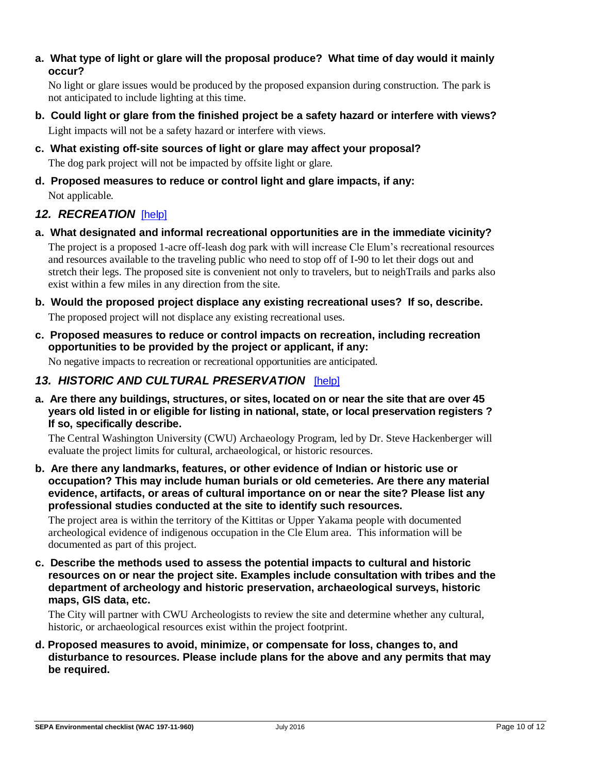### **a. What type of light or glare will the proposal produce? What time of day would it mainly occur?**

No light or glare issues would be produced by the proposed expansion during construction. The park is not anticipated to include lighting at this time.

- **b. Could light or glare from the finished project be a safety hazard or interfere with views?** Light impacts will not be a safety hazard or interfere with views.
- **c. What existing off-site sources of light or glare may affect your proposal?** The dog park project will not be impacted by offsite light or glare.
- **d. Proposed measures to reduce or control light and glare impacts, if any:** Not applicable.

## *12. RECREATION*[\[help\]](https://ecology.wa.gov/Regulations-Permits/SEPA/Environmental-review/SEPA-guidance/SEPA-checklist-guidance/SEPA-Checklist-Section-B-Environmental-elements/Environmental-elements-12-Recreation)

**a. What designated and informal recreational opportunities are in the immediate vicinity?**

The project is a proposed 1-acre off-leash dog park with will increase Cle Elum's recreational resources and resources available to the traveling public who need to stop off of I-90 to let their dogs out and stretch their legs. The proposed site is convenient not only to travelers, but to neighTrails and parks also exist within a few miles in any direction from the site.

**b. Would the proposed project displace any existing recreational uses? If so, describe.**

The proposed project will not displace any existing recreational uses.

**c. Proposed measures to reduce or control impacts on recreation, including recreation opportunities to be provided by the project or applicant, if any:**

No negative impacts to recreation or recreational opportunities are anticipated.

## *13. HISTORIC AND CULTURAL PRESERVATION*[\[help\]](https://ecology.wa.gov/Regulations-Permits/SEPA/Environmental-review/SEPA-guidance/SEPA-checklist-guidance/SEPA-Checklist-Section-B-Environmental-elements/Environmental-elements-13-Historic-cultural-p)

**a. Are there any buildings, structures, or sites, located on or near the site that are over 45 years old listed in or eligible for listing in national, state, or local preservation registers ? If so, specifically describe.**

The Central Washington University (CWU) Archaeology Program, led by Dr. Steve Hackenberger will evaluate the project limits for cultural, archaeological, or historic resources.

**b. Are there any landmarks, features, or other evidence of Indian or historic use or occupation? This may include human burials or old cemeteries. Are there any material evidence, artifacts, or areas of cultural importance on or near the site? Please list any professional studies conducted at the site to identify such resources.**

The project area is within the territory of the Kittitas or Upper Yakama people with documented archeological evidence of indigenous occupation in the Cle Elum area. This information will be documented as part of this project.

**c. Describe the methods used to assess the potential impacts to cultural and historic resources on or near the project site. Examples include consultation with tribes and the department of archeology and historic preservation, archaeological surveys, historic maps, GIS data, etc.** 

The City will partner with CWU Archeologists to review the site and determine whether any cultural, historic, or archaeological resources exist within the project footprint.

**d. Proposed measures to avoid, minimize, or compensate for loss, changes to, and disturbance to resources. Please include plans for the above and any permits that may be required.**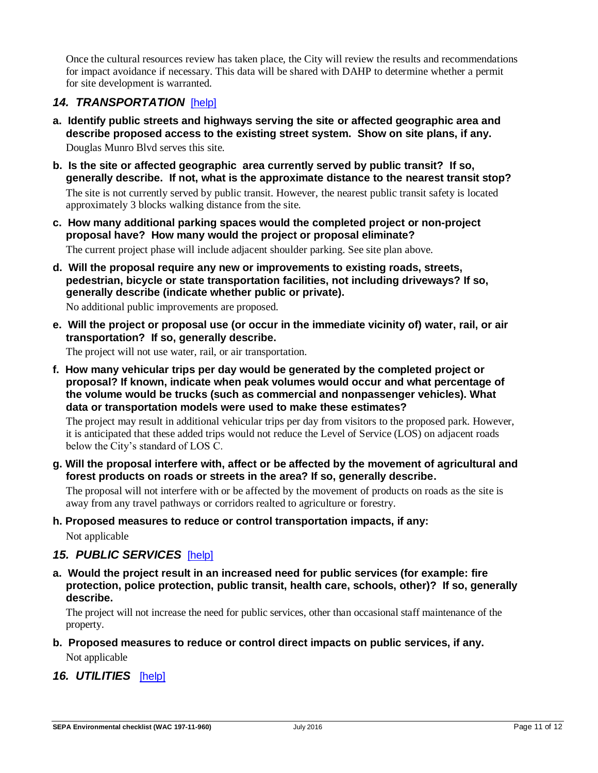Once the cultural resources review has taken place, the City will review the results and recommendations for impact avoidance if necessary. This data will be shared with DAHP to determine whether a permit for site development is warranted.

## *14. TRANSPORTATION*[\[help\]](https://ecology.wa.gov/Regulations-Permits/SEPA/Environmental-review/SEPA-guidance/SEPA-checklist-guidance/SEPA-Checklist-Section-B-Environmental-elements/Environmental-elements-14-Transportation)

- **a. Identify public streets and highways serving the site or affected geographic area and describe proposed access to the existing street system. Show on site plans, if any.** Douglas Munro Blvd serves this site.
- **b. Is the site or affected geographic area currently served by public transit? If so, generally describe. If not, what is the approximate distance to the nearest transit stop?** The site is not currently served by public transit. However, the nearest public transit safety is located approximately 3 blocks walking distance from the site.
- **c. How many additional parking spaces would the completed project or non-project proposal have? How many would the project or proposal eliminate?**

The current project phase will include adjacent shoulder parking. See site plan above.

**d. Will the proposal require any new or improvements to existing roads, streets, pedestrian, bicycle or state transportation facilities, not including driveways? If so, generally describe (indicate whether public or private).**

No additional public improvements are proposed.

**e. Will the project or proposal use (or occur in the immediate vicinity of) water, rail, or air transportation? If so, generally describe.**

The project will not use water, rail, or air transportation.

**f. How many vehicular trips per day would be generated by the completed project or proposal? If known, indicate when peak volumes would occur and what percentage of the volume would be trucks (such as commercial and nonpassenger vehicles). What data or transportation models were used to make these estimates?**

The project may result in additional vehicular trips per day from visitors to the proposed park. However, it is anticipated that these added trips would not reduce the Level of Service (LOS) on adjacent roads below the City's standard of LOS C.

**g. Will the proposal interfere with, affect or be affected by the movement of agricultural and forest products on roads or streets in the area? If so, generally describe.**

The proposal will not interfere with or be affected by the movement of products on roads as the site is away from any travel pathways or corridors realted to agriculture or forestry.

#### **h. Proposed measures to reduce or control transportation impacts, if any:**

Not applicable

## *15. PUBLIC SERVICES*[\[help\]](https://ecology.wa.gov/Regulations-Permits/SEPA/Environmental-review/SEPA-guidance/SEPA-checklist-guidance/SEPA-Checklist-Section-B-Environmental-elements/Environmental-elements-15-Public-services)

**a. Would the project result in an increased need for public services (for example: fire protection, police protection, public transit, health care, schools, other)? If so, generally describe.**

The project will not increase the need for public services, other than occasional staff maintenance of the property.

## **b. Proposed measures to reduce or control direct impacts on public services, if any.**

Not applicable

16. UTILITIES [\[help\]](https://ecology.wa.gov/Regulations-Permits/SEPA/Environmental-review/SEPA-guidance/SEPA-checklist-guidance/SEPA-Checklist-Section-B-Environmental-elements/Environmental-elements-16-Utilities)